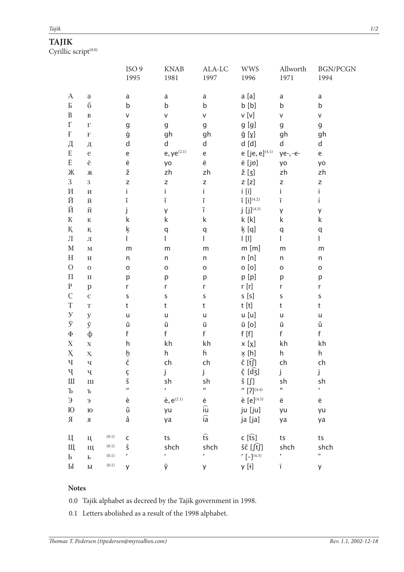## **TAJIK**

Cyrillic script $(0.0)$ 

|                                                       |                                                                                                        |                    | ISO <sub>9</sub><br>1995 | <b>KNAB</b><br>1981     | ALA-LC<br>1997                                 | <b>WWS</b><br>1996                      | Allworth<br>1971 | <b>BGN/PCGN</b><br>1994 |
|-------------------------------------------------------|--------------------------------------------------------------------------------------------------------|--------------------|--------------------------|-------------------------|------------------------------------------------|-----------------------------------------|------------------|-------------------------|
| $\boldsymbol{A}$                                      | $\rm{a}$                                                                                               |                    | $\mathsf a$              | $\mathsf a$             | $\mathsf a$                                    | a [a]                                   | a                | $\mathsf a$             |
| $\mathbf{P}% _{T}=\mathbf{P}_{T}\times\mathbf{P}_{T}$ | $\rm 6$                                                                                                |                    | $\sf b$                  | $\sf b$                 | $\sf b$                                        | b [b]                                   | b                | $\sf b$                 |
| $\, {\bf B}$                                          | $\, {\bf B}$                                                                                           |                    | V                        | v                       | V                                              | v [v]                                   | v                | V                       |
| $\Gamma$                                              | $\Gamma$                                                                                               |                    | $\mathsf g$              | g                       | g                                              | g [g]                                   | g                | g                       |
| $\mathbf{F}% _{0}$                                    | $\mathbf{F}% _{t}\left  \mathbf{1}\right\rangle =\mathbf{1}_{\left  \mathbf{1}\right  \leq\mathbf{1}}$ |                    | ġ                        | gh                      | gh                                             | ğ [γ]                                   | gh               | gh                      |
| Д                                                     | Д                                                                                                      |                    | d                        | d                       | $\sf d$                                        | d [d]                                   | d                | $\mathsf{d}$            |
| ${\bf E}$                                             | $\rm e$                                                                                                |                    | e                        | $e, ye^{(2.1)}$         | e                                              | e [je, $e^{(4.1)}$                      | ye-, -e-         | e                       |
| Ë                                                     | ë                                                                                                      |                    | ë                        | yo                      | ë                                              | ë [jp]                                  | yo               | yo                      |
| Ж                                                     | Ж                                                                                                      |                    | ž                        | zh                      | zh                                             | $\Sigma$ [3]                            | zh               | zh                      |
| 3                                                     | 3                                                                                                      |                    | Z                        | $\mathsf Z$             | Z                                              | $z$ [z]                                 | Z                | $\mathsf Z$             |
| $\boldsymbol{\mathit{M}}$                             | $\boldsymbol{\mathit{M}}$                                                                              |                    | i                        | İ.                      | İ.                                             | $i$ [i]                                 | i.               | i.                      |
| Й                                                     | $\bar{M}$                                                                                              |                    | ī                        | ī                       | ī                                              | $\bar{I}$ $[i]^{(4.2)}$                 | ī                | í                       |
| Й                                                     | Й                                                                                                      |                    | j                        | У                       | ĭ                                              | $j$ [j] <sup>(4.3)</sup>                | y                | У                       |
| ${\bf K}$                                             | $\mathbbm{K}$                                                                                          |                    | $\mathsf k$              | k                       | $\sf k$                                        | k [k]                                   | k                | $\sf k$                 |
| Қ                                                     | $\rm K$                                                                                                |                    | ķ                        | q                       | q                                              | $k$ [q]                                 | q                | q                       |
| $\rm{J}I$                                             | $\rm J\hspace{-.1em}I$                                                                                 |                    |                          |                         | L                                              | $\lfloor \lfloor \lceil \rfloor \rceil$ | L                | $\mathbf{L}$            |
| $\mathbf M$                                           | $\mathbf M$                                                                                            |                    | m                        | m                       | m                                              | $m$ [m]                                 | ${\sf m}$        | ${\sf m}$               |
| $\mathbf H$                                           | $\, {\rm H}$                                                                                           |                    | $\sf n$                  | $\sf n$                 | $\sf n$                                        | n [n]                                   | n                | n                       |
| $\mathcal{O}$                                         | $\boldsymbol{0}$                                                                                       |                    | $\mathsf O$              | $\mathsf{o}$            | $\mathsf O$                                    | $o$ [o]                                 | $\mathsf{o}$     | $\mathsf{o}$            |
| $\boldsymbol{\Pi}$                                    | $\boldsymbol{\Pi}$                                                                                     |                    | p                        | р                       | р                                              | p[p]                                    | p                | р                       |
| ${\bf P}$                                             | $\mathbf{p}$                                                                                           |                    | r                        | $\mathsf{r}$            | r                                              | r[r]                                    | r                | r                       |
| $\mathsf C$                                           | $\mathsf C$                                                                                            |                    | $\sf S$                  | $\sf S$                 | $\sf S$                                        | s[s]                                    | $\sf S$          | $\sf S$                 |
| $\rm T$                                               | $\mathbf T$                                                                                            |                    | t                        | t                       | t                                              | t [t]                                   | t                | $\mathsf t$             |
| $\mathbf{y}$                                          | y                                                                                                      |                    | $\mathsf{u}$             | u                       | u                                              | u [u]                                   | u                | $\sf u$                 |
| $\bar{\textbf{y}}$                                    | $\bar{y}$                                                                                              |                    | ū                        | ū                       | ū                                              | ū [o]                                   | ū                | ŭ                       |
| $\Phi$                                                | ф                                                                                                      |                    | f                        | f                       | f                                              | f[f]                                    | f                | f                       |
| $\mathbf X$                                           | $\bar{X}$                                                                                              |                    | $\mathsf{h}$             | kh                      | kh                                             | x [x]                                   | kh               | kh                      |
| X                                                     | $\mathbf{X}_\text{t}$                                                                                  |                    | h,<br>č                  | h                       | ĥ                                              | x [h]                                   | h                | h                       |
| Ч                                                     | $\mathbf{q}$                                                                                           |                    |                          | ch                      | ch                                             | č [t͡ʃ]                                 | ch               | ch                      |
| Ч                                                     | ҷ                                                                                                      |                    | Ç                        | j                       | j                                              | $\xi$ [d͡ʒ]                             | j                | j                       |
| Ш                                                     | $\rm III$                                                                                              |                    | š                        | sh                      | sh                                             | š [ʃ]                                   | sh               | sh                      |
| $\mathbf b$                                           | $\mathbf T$                                                                                            |                    | $\prime\prime$           | $\pmb{\epsilon}$        | $\boldsymbol{\prime\prime}$                    | $''$ [?] <sup>(4.4)</sup>               | ,,               | $\pmb{\mathfrak{z}}$    |
| Э                                                     | $\vartheta$                                                                                            |                    | è                        | $\hat{e}$ , $e^{(2.1)}$ | ė                                              | è $[e]^{(4.5)}$                         | ë                | ė                       |
| $\mathop{\hbox{1}}\nolimits$                          | ${\rm I\!0}$                                                                                           |                    | û                        | yu                      | $\widehat{\mathsf{i}\hspace{0.5pt}\mathsf{u}}$ | ju [ju]                                 | yu               | yu                      |
| $\mathbf R$                                           | $\mathbb R$                                                                                            |                    | â                        | ya                      | $\widehat{\mathsf{ia}}$                        | ja [ja]                                 | ya               | ya                      |
| Ц                                                     | Ц                                                                                                      | $\left(0.1\right)$ | $\mathsf{C}$             | ts                      | $\widehat{\mathsf{ts}}$                        | $c$ [t͡s]                               | ts               | ts                      |
| Щ                                                     | Щ                                                                                                      | (0.1)              | ŝ                        | shch                    | shch                                           | šč [ʃt͡ʃ]                               | shch             | shch                    |
| $\mathbf{P}$                                          | $\mathbf P$                                                                                            | (0.1)              | $\prime$                 | I.                      | $\pmb{I}$                                      | $'[-]^{(4.3)}$                          | ,                | ,,                      |
| $\rm{Pl}$                                             | $\rm{Pl}$                                                                                              | $\left(0.1\right)$ | У                        | ŷ                       | y                                              | y [ɨ]                                   | Ï.               | y                       |

## **Notes**

0.0 Tajik alphabet as decreed by the Tajik government in 1998.

0.1 Letters abolished as a result of the 1998 alphabet.